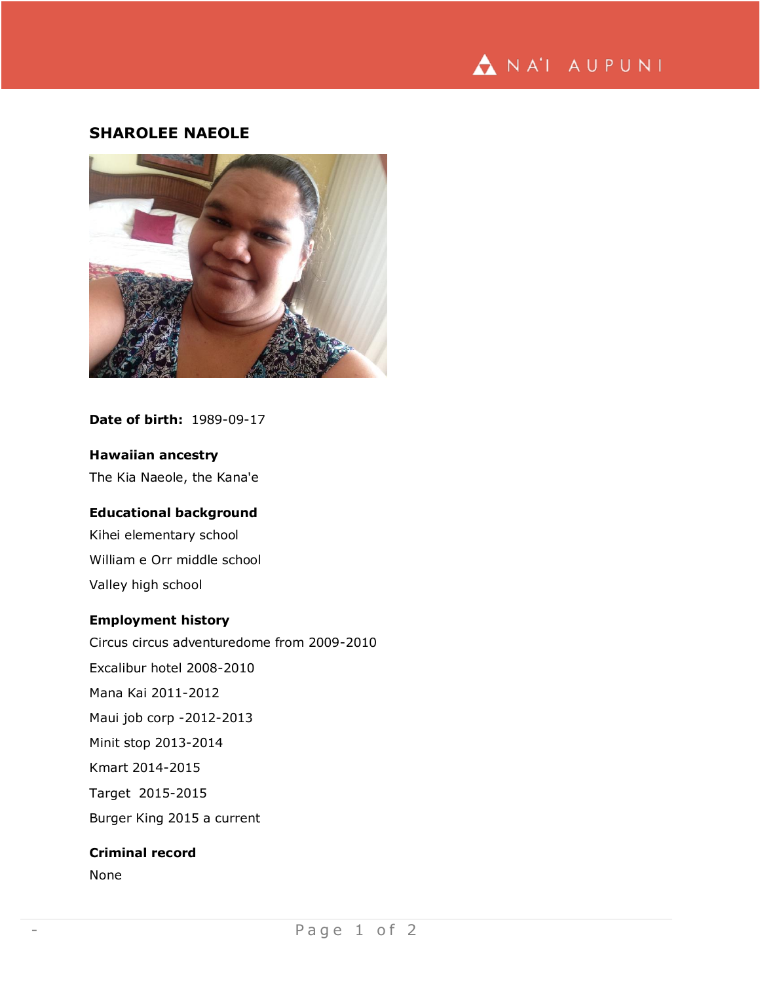

## **SHAROLEE NAEOLE**



## **Date of birth:** 1989-09-17

**Hawaiian ancestry** The Kia Naeole, the Kana'e

## **Educational background**

Kihei elementary school William e Orr middle school Valley high school

### **Employment history**

Circus circus adventuredome from 2009-2010 Excalibur hotel 2008-2010 Mana Kai 2011-2012 Maui job corp -2012-2013 Minit stop 2013-2014 Kmart 2014-2015 Target 2015-2015 Burger King 2015 a current

# **Criminal record**

None